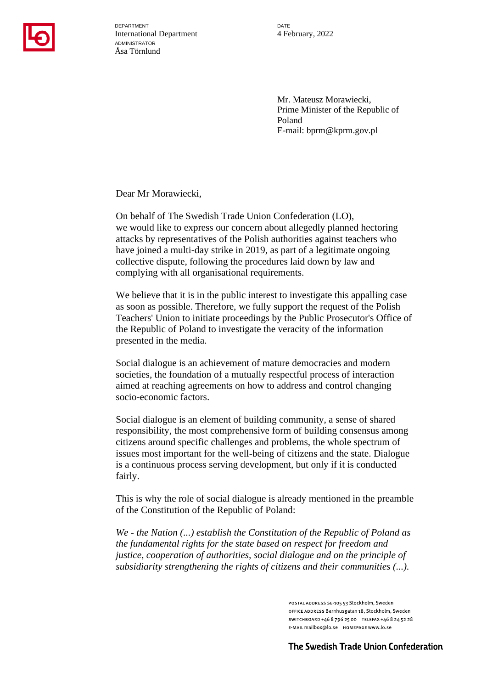

DEPARTMENT International Department ADMINISTRATOR Åsa Törnlund

**DATE** 4 February, 2022

Mr. Mateusz Morawiecki, Prime Minister of the Republic of Poland E-mail: bprm@kprm.gov.pl

Dear Mr Morawiecki,

On behalf of The Swedish Trade Union Confederation (LO), we would like to express our concern about allegedly planned hectoring attacks by representatives of the Polish authorities against teachers who have joined a multi-day strike in 2019, as part of a legitimate ongoing collective dispute, following the procedures laid down by law and complying with all organisational requirements.

We believe that it is in the public interest to investigate this appalling case as soon as possible. Therefore, we fully support the request of the Polish Teachers' Union to initiate proceedings by the Public Prosecutor's Office of the Republic of Poland to investigate the veracity of the information presented in the media.

Social dialogue is an achievement of mature democracies and modern societies, the foundation of a mutually respectful process of interaction aimed at reaching agreements on how to address and control changing socio-economic factors.

Social dialogue is an element of building community, a sense of shared responsibility, the most comprehensive form of building consensus among citizens around specific challenges and problems, the whole spectrum of issues most important for the well-being of citizens and the state. Dialogue is a continuous process serving development, but only if it is conducted fairly.

This is why the role of social dialogue is already mentioned in the preamble of the Constitution of the Republic of Poland:

*We - the Nation (...) establish the Constitution of the Republic of Poland as the fundamental rights for the state based on respect for freedom and justice, cooperation of authorities, social dialogue and on the principle of subsidiarity strengthening the rights of citizens and their communities (...).* 

> POSTAL ADDRESS SE 105 53 Stockholm, Sweden OFFICE ADDRESS Barnhusgatan 18, Stockholm, Sweden SWITCHBOARD +46 8 796 25 00 TELEFAX +46 8 24 52 28 E-MAIL mailbox@lo.se HOMEPAGE www.lo.se

The Swedish Trade Union Confederation